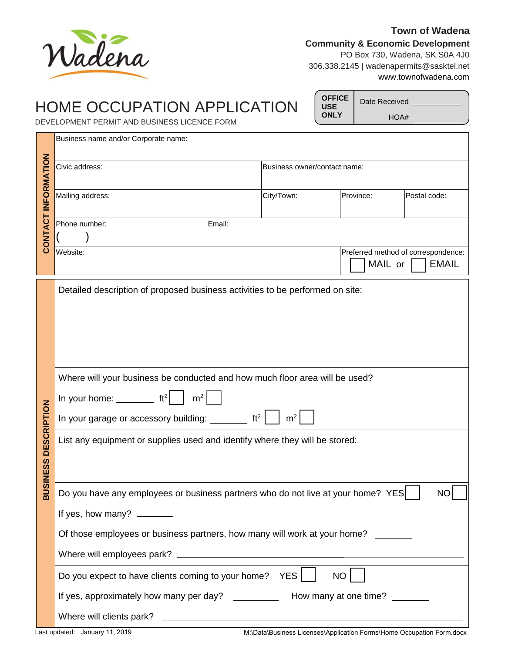

## **Town of Wadena Community & Economic Development** PO Box 730, Wadena, SK S0A 4J0

306.338.2145 | wadenapermits@sasktel.net www.townofwadena.com

## HOME OCCUPATION APPLICATION DEVELOPMENT PERMIT AND BUSINESS LICENCE FORM

Date Received \_ **OFFICE USE ONLY**

HOA#

Business name and/or Corporate name:

| CONTACT INFORMATION                                                                                                                                                                                                                                                                                                                                                                                                                                            | Civic address:                                                                                                                                                                                                                                 |                 | Business owner/contact name: |           |                                                     |
|----------------------------------------------------------------------------------------------------------------------------------------------------------------------------------------------------------------------------------------------------------------------------------------------------------------------------------------------------------------------------------------------------------------------------------------------------------------|------------------------------------------------------------------------------------------------------------------------------------------------------------------------------------------------------------------------------------------------|-----------------|------------------------------|-----------|-----------------------------------------------------|
|                                                                                                                                                                                                                                                                                                                                                                                                                                                                | Mailing address:                                                                                                                                                                                                                               |                 | City/Town:                   | Province: | Postal code:                                        |
|                                                                                                                                                                                                                                                                                                                                                                                                                                                                | Phone number:                                                                                                                                                                                                                                  | Email:          |                              |           |                                                     |
|                                                                                                                                                                                                                                                                                                                                                                                                                                                                | Website:                                                                                                                                                                                                                                       |                 |                              | MAIL or   | Preferred method of correspondence:<br><b>EMAIL</b> |
| Detailed description of proposed business activities to be performed on site:<br>Where will your business be conducted and how much floor area will be used?<br>In your home: $\frac{1}{\sqrt{1-\frac{1}{c^2}}}$ ft <sup>2</sup><br>m <sup>2</sup><br><b>DESCRIPTION</b><br>In your garage or accessory building: $\frac{1}{1 + \frac{1}{2}}$ ft <sup>2</sup><br>m <sup>2</sup><br>List any equipment or supplies used and identify where they will be stored: |                                                                                                                                                                                                                                                |                 |                              |           |                                                     |
| <b>BUSINESS</b>                                                                                                                                                                                                                                                                                                                                                                                                                                                | Do you have any employees or business partners who do not live at your home? YES<br>If yes, how many?<br>Of those employees or business partners, how many will work at your home?<br>Do you expect to have clients coming to your home? $YES$ | NO <sub>1</sub> | <b>NO</b>                    |           |                                                     |
| If yes, approximately how many per day? ____________ How many at one time? ______                                                                                                                                                                                                                                                                                                                                                                              |                                                                                                                                                                                                                                                |                 |                              |           |                                                     |